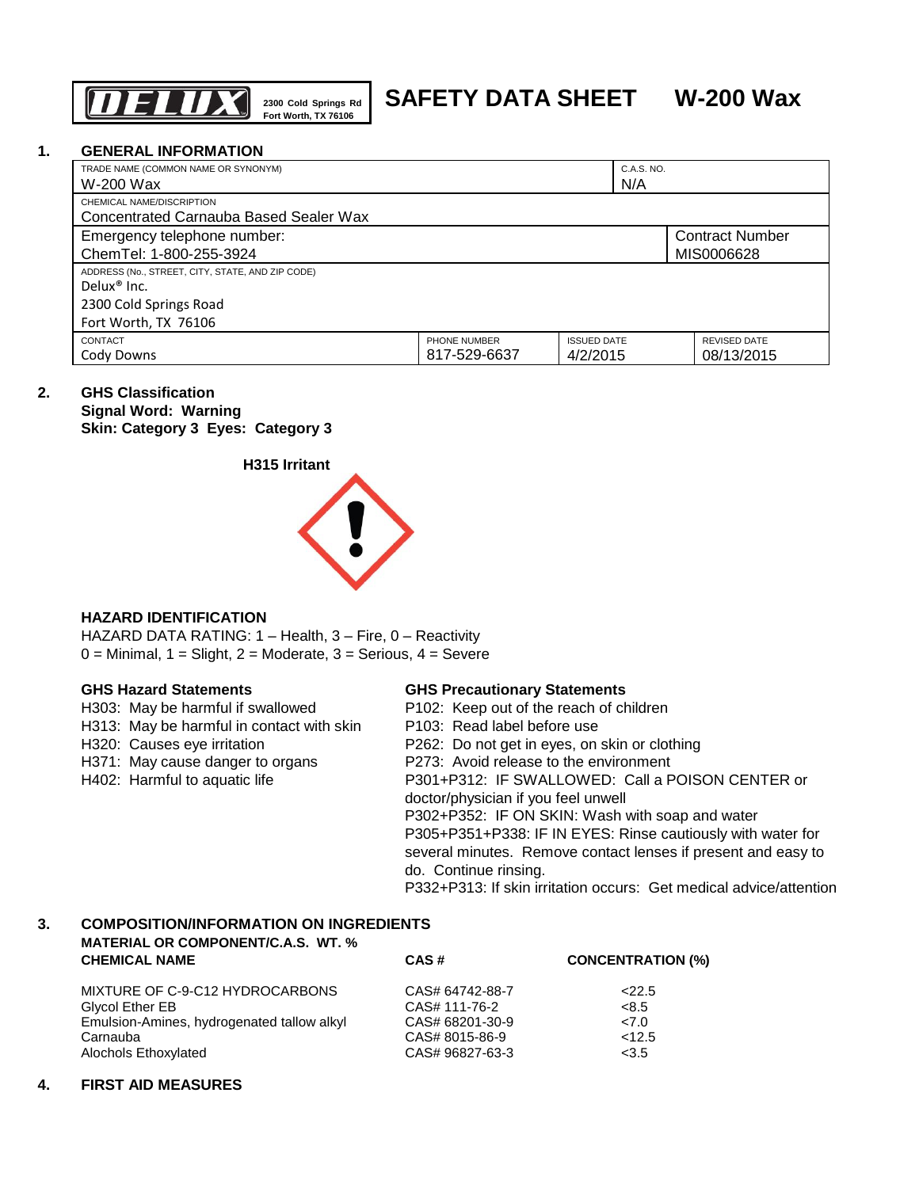

# **SAFETY DATA SHEET W-200 Wax**

#### **1. GENERAL INFORMATION**

| TRADE NAME (COMMON NAME OR SYNONYM)<br>W-200 Wax                            |                              | C.A.S. NO.<br>N/A              |                                      |
|-----------------------------------------------------------------------------|------------------------------|--------------------------------|--------------------------------------|
| CHEMICAL NAME/DISCRIPTION<br>Concentrated Carnauba Based Sealer Wax         |                              |                                |                                      |
| Emergency telephone number:<br>ChemTel: 1-800-255-3924                      |                              |                                | <b>Contract Number</b><br>MIS0006628 |
| ADDRESS (No., STREET, CITY, STATE, AND ZIP CODE)<br>Delux <sup>®</sup> Inc. |                              |                                |                                      |
| 2300 Cold Springs Road<br>Fort Worth, TX 76106                              |                              |                                |                                      |
| CONTACT<br>Cody Downs                                                       | PHONE NUMBER<br>817-529-6637 | <b>ISSUED DATE</b><br>4/2/2015 | <b>REVISED DATE</b><br>08/13/2015    |

# **2. GHS Classification**

**Signal Word: Warning Skin: Category 3 Eyes: Category 3**





# **HAZARD IDENTIFICATION**

HAZARD DATA RATING: 1 – Health, 3 – Fire, 0 – Reactivity  $0 =$  Minimal,  $1 =$  Slight,  $2 =$  Moderate,  $3 =$  Serious,  $4 =$  Severe

|  |  | <b>GHS Hazard Statements</b> |
|--|--|------------------------------|
|--|--|------------------------------|

# **GHS Hazard Statements GHS Precautionary Statements**

| H303: May be harmful if swallowed         | P102: Keep out of the reach of children                            |
|-------------------------------------------|--------------------------------------------------------------------|
| H313: May be harmful in contact with skin | P103: Read label before use                                        |
| H320: Causes eye irritation               | P262: Do not get in eyes, on skin or clothing                      |
| H371: May cause danger to organs          | P273: Avoid release to the environment                             |
| H402: Harmful to aquatic life             | P301+P312: IF SWALLOWED: Call a POISON CENTER or                   |
|                                           | doctor/physician if you feel unwell                                |
|                                           | P302+P352: IF ON SKIN: Wash with soap and water                    |
|                                           | P305+P351+P338: IF IN EYES: Rinse cautiously with water for        |
|                                           | several minutes. Remove contact lenses if present and easy to      |
|                                           | do. Continue rinsing.                                              |
|                                           | P332+P313: If skin irritation occurs: Get medical advice/attention |

# **3. COMPOSITION/INFORMATION ON INGREDIENTS MATERIAL OR COMPONENT/C.A.S. WT. %**

| <b>CHEMICAL NAME</b>                       | CAS#            | <b>CONCENTRATION (%)</b> |
|--------------------------------------------|-----------------|--------------------------|
| MIXTURE OF C-9-C12 HYDROCARBONS            | CAS# 64742-88-7 | 22.5                     |
| Glycol Ether EB                            | CAS# 111-76-2   | <8.5                     |
| Emulsion-Amines, hydrogenated tallow alkyl | CAS# 68201-30-9 | 27.0                     |
| Carnauba                                   | CAS# 8015-86-9  | < 12.5                   |
| Alochols Ethoxylated                       | CAS# 96827-63-3 | < 3.5                    |

# **4. FIRST AID MEASURES**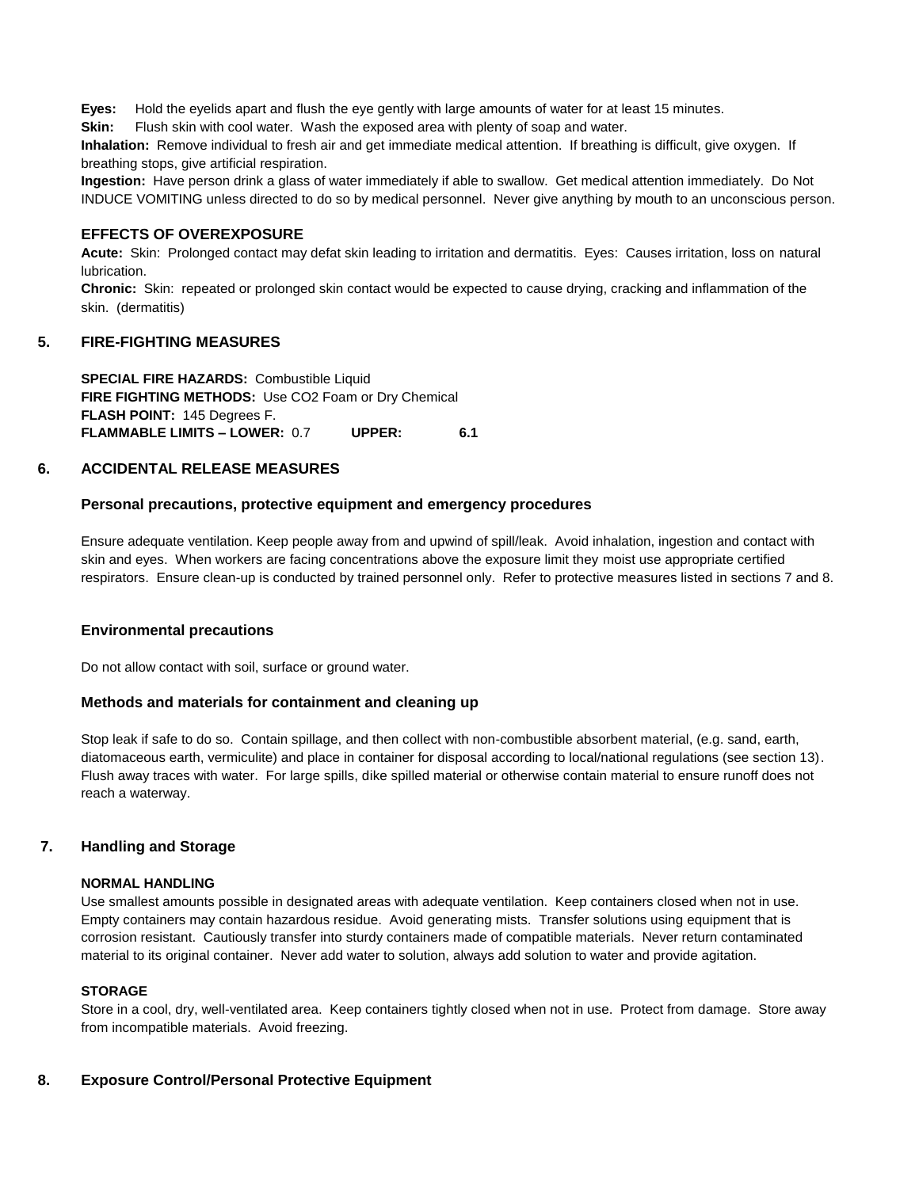**Eyes:** Hold the eyelids apart and flush the eye gently with large amounts of water for at least 15 minutes.

**Skin:** Flush skin with cool water. Wash the exposed area with plenty of soap and water.

**Inhalation:** Remove individual to fresh air and get immediate medical attention. If breathing is difficult, give oxygen. If breathing stops, give artificial respiration.

**Ingestion:** Have person drink a glass of water immediately if able to swallow. Get medical attention immediately. Do Not INDUCE VOMITING unless directed to do so by medical personnel. Never give anything by mouth to an unconscious person.

#### **EFFECTS OF OVEREXPOSURE**

**Acute:** Skin: Prolonged contact may defat skin leading to irritation and dermatitis. Eyes: Causes irritation, loss on natural lubrication.

**Chronic:** Skin: repeated or prolonged skin contact would be expected to cause drying, cracking and inflammation of the skin. (dermatitis)

#### **5. FIRE-FIGHTING MEASURES**

**SPECIAL FIRE HAZARDS:** Combustible Liquid **FIRE FIGHTING METHODS:** Use CO2 Foam or Dry Chemical **FLASH POINT:** 145 Degrees F. **FLAMMABLE LIMITS – LOWER:** 0.7 **UPPER: 6.1**

#### **6. ACCIDENTAL RELEASE MEASURES**

#### **Personal precautions, protective equipment and emergency procedures**

Ensure adequate ventilation. Keep people away from and upwind of spill/leak. Avoid inhalation, ingestion and contact with skin and eyes. When workers are facing concentrations above the exposure limit they moist use appropriate certified respirators. Ensure clean-up is conducted by trained personnel only. Refer to protective measures listed in sections 7 and 8.

#### **Environmental precautions**

Do not allow contact with soil, surface or ground water.

#### **Methods and materials for containment and cleaning up**

Stop leak if safe to do so. Contain spillage, and then collect with non-combustible absorbent material, (e.g. sand, earth, diatomaceous earth, vermiculite) and place in container for disposal according to local/national regulations (see section 13). Flush away traces with water. For large spills, dike spilled material or otherwise contain material to ensure runoff does not reach a waterway.

# **7. Handling and Storage**

#### **NORMAL HANDLING**

Use smallest amounts possible in designated areas with adequate ventilation. Keep containers closed when not in use. Empty containers may contain hazardous residue. Avoid generating mists. Transfer solutions using equipment that is corrosion resistant. Cautiously transfer into sturdy containers made of compatible materials. Never return contaminated material to its original container. Never add water to solution, always add solution to water and provide agitation.

#### **STORAGE**

Store in a cool, dry, well-ventilated area. Keep containers tightly closed when not in use. Protect from damage. Store away from incompatible materials. Avoid freezing.

# **8. Exposure Control/Personal Protective Equipment**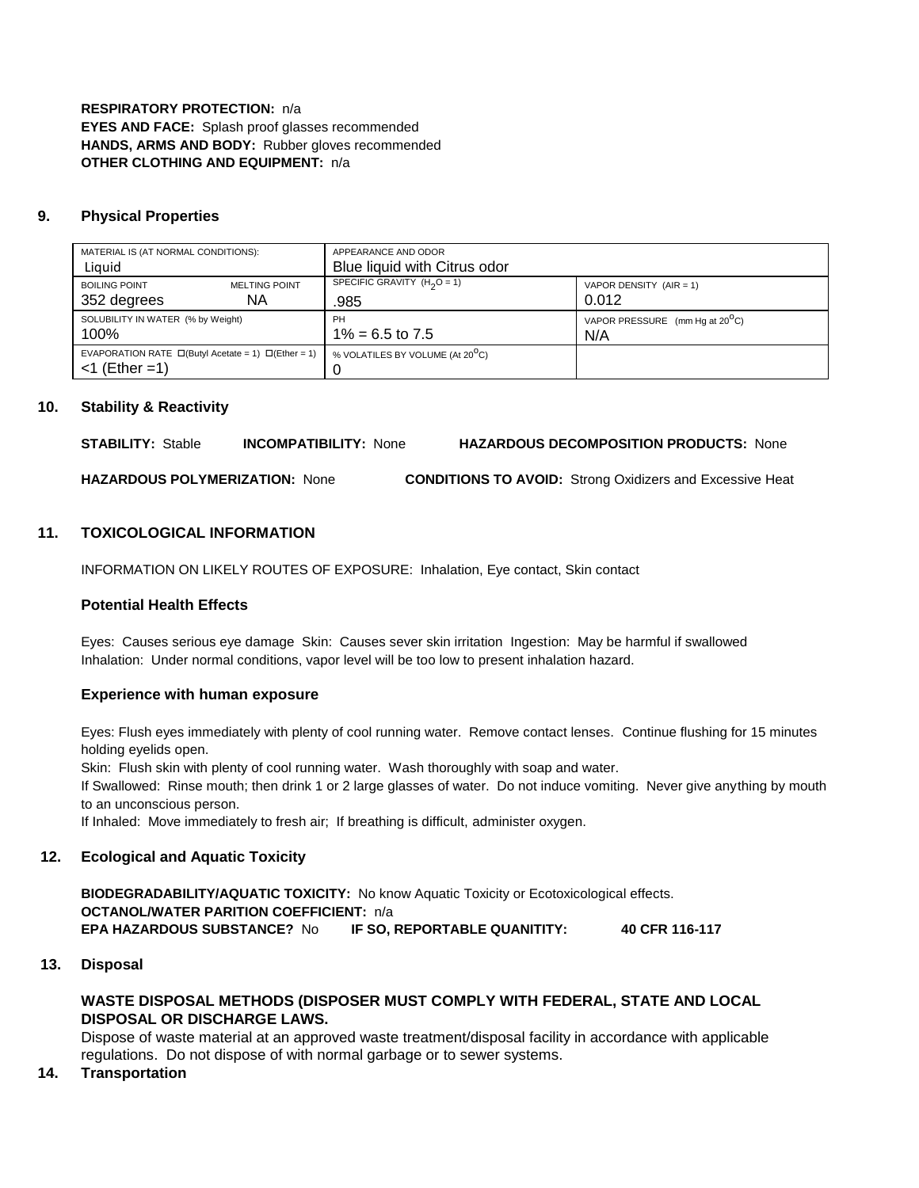**RESPIRATORY PROTECTION:** n/a **EYES AND FACE:** Splash proof glasses recommended **HANDS, ARMS AND BODY:** Rubber gloves recommended **OTHER CLOTHING AND EQUIPMENT:** n/a

# **9. Physical Properties**

| MATERIAL IS (AT NORMAL CONDITIONS):<br>Liquid                                       |                      | APPEARANCE AND ODOR<br>Blue liquid with Citrus odor |                                          |
|-------------------------------------------------------------------------------------|----------------------|-----------------------------------------------------|------------------------------------------|
| <b>BOILING POINT</b>                                                                | <b>MELTING POINT</b> | SPECIFIC GRAVITY $(H2O = 1)$                        | VAPOR DENSITY $(AIR = 1)$                |
| 352 degrees                                                                         | NA.                  | .985                                                | 0.012                                    |
| SOLUBILITY IN WATER (% by Weight)                                                   |                      | <b>PH</b>                                           | VAPOR PRESSURE (mm Hq at $20^{\circ}$ C) |
| 100%                                                                                |                      | $1\% = 6.5$ to 7.5                                  | N/A                                      |
| EVAPORATION RATE $\Box$ (Butyl Acetate = 1) $\Box$ (Ether = 1)<br>$<$ 1 (Ether = 1) |                      | % VOLATILES BY VOLUME (At 20 <sup>O</sup> C)        |                                          |

# **10. Stability & Reactivity**

**STABILITY:** Stable **INCOMPATIBILITY:** None **HAZARDOUS DECOMPOSITION PRODUCTS:** None

**HAZARDOUS POLYMERIZATION:** None **CONDITIONS TO AVOID:** Strong Oxidizers and Excessive Heat

#### **11. TOXICOLOGICAL INFORMATION**

INFORMATION ON LIKELY ROUTES OF EXPOSURE: Inhalation, Eye contact, Skin contact

#### **Potential Health Effects**

Eyes: Causes serious eye damage Skin: Causes sever skin irritation Ingestion: May be harmful if swallowed Inhalation: Under normal conditions, vapor level will be too low to present inhalation hazard.

#### **Experience with human exposure**

Eyes: Flush eyes immediately with plenty of cool running water. Remove contact lenses. Continue flushing for 15 minutes holding eyelids open.

Skin: Flush skin with plenty of cool running water. Wash thoroughly with soap and water.

If Swallowed: Rinse mouth; then drink 1 or 2 large glasses of water. Do not induce vomiting. Never give anything by mouth to an unconscious person.

If Inhaled: Move immediately to fresh air; If breathing is difficult, administer oxygen.

#### **12. Ecological and Aquatic Toxicity**

**BIODEGRADABILITY/AQUATIC TOXICITY:** No know Aquatic Toxicity or Ecotoxicological effects. **OCTANOL/WATER PARITION COEFFICIENT:** n/a **EPA HAZARDOUS SUBSTANCE?** No **IF SO, REPORTABLE QUANITITY: 40 CFR 116-117**

#### **13. Disposal**

# **WASTE DISPOSAL METHODS (DISPOSER MUST COMPLY WITH FEDERAL, STATE AND LOCAL DISPOSAL OR DISCHARGE LAWS.**

Dispose of waste material at an approved waste treatment/disposal facility in accordance with applicable regulations. Do not dispose of with normal garbage or to sewer systems.

#### **14. Transportation**